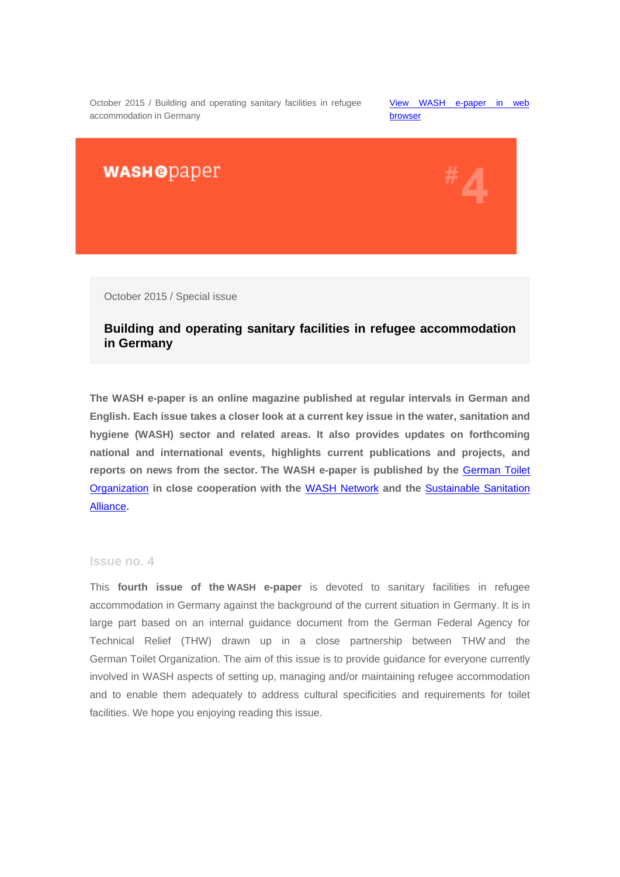October 2015 / Building and operating sanitary facilities in refugee accommodation in Germany

[View WASH e-paper in](http://us4.campaign-archive2.com/?u=bc3ae3e573afc6e78bf46bfd1&id=50768ceee6&e=95dd51893c) web [browser](http://us4.campaign-archive2.com/?u=bc3ae3e573afc6e78bf46bfd1&id=50768ceee6&e=95dd51893c) 

**WASHODaper** 



October 2015 / Special issue

# **Building and operating sanitary facilities in refugee accommodation in Germany**

**The WASH e-paper is an online magazine published at regular intervals in German and English. Each issue takes a closer look at a current key issue in the water, sanitation and hygiene (WASH) sector and related areas. It also provides updates on forthcoming national and international events, highlights current publications and projects, and reports on news from the sector. The WASH e-paper is published by the** [German Toilet](http://germantoilet.us4.list-manage.com/track/click?u=bc3ae3e573afc6e78bf46bfd1&id=1d66375f83&e=95dd51893c)  [Organization](http://germantoilet.us4.list-manage.com/track/click?u=bc3ae3e573afc6e78bf46bfd1&id=1d66375f83&e=95dd51893c) **in close cooperation with the** [WASH Network](http://germantoilet.us4.list-manage.com/track/click?u=bc3ae3e573afc6e78bf46bfd1&id=452c6b3f89&e=95dd51893c) **and the** [Sustainable Sanitation](http://germantoilet.us4.list-manage2.com/track/click?u=bc3ae3e573afc6e78bf46bfd1&id=12787f37cc&e=95dd51893c)  [Alliance](http://germantoilet.us4.list-manage2.com/track/click?u=bc3ae3e573afc6e78bf46bfd1&id=12787f37cc&e=95dd51893c)**.**

#### **Issue no. 4**

This **fourth issue of the WASH e-paper** is devoted to sanitary facilities in refugee accommodation in Germany against the background of the current situation in Germany. It is in large part based on an internal guidance document from the German Federal Agency for Technical Relief (THW) drawn up in a close partnership between THW and the German Toilet Organization. The aim of this issue is to provide guidance for everyone currently involved in WASH aspects of setting up, managing and/or maintaining refugee accommodation and to enable them adequately to address cultural specificities and requirements for toilet facilities. We hope you enjoying reading this issue.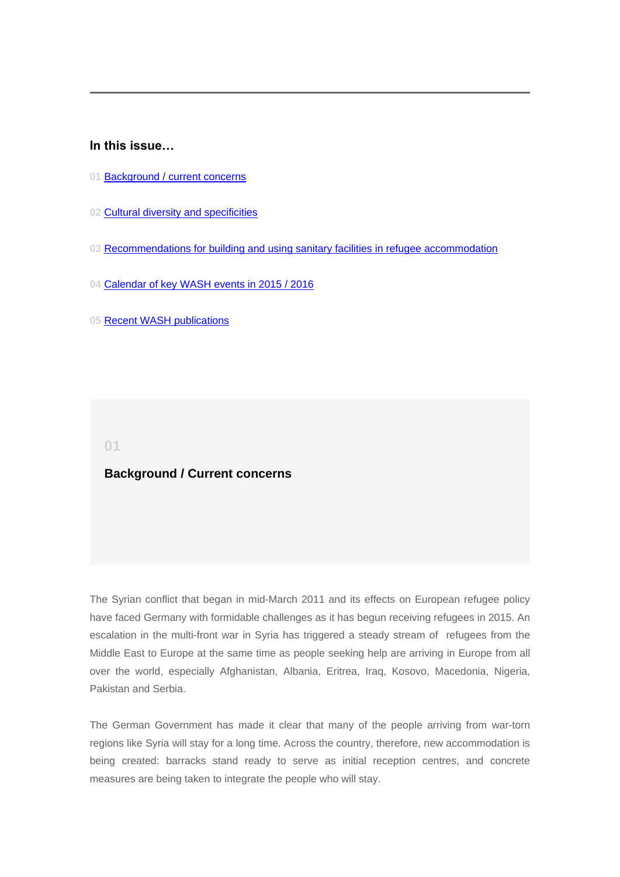## **In this issue…**

- **01** [Background / current concerns](#page-1-0)
- **02** [Cultural diversity and specificities](#page-2-0)
- **03** [Recommendations for building and using sanitary facilities in](#page-5-0) refugee accommodation
- **04** [Calendar of key](#page-8-0) WASH events in 2015 / 2016
- **05** Recent [WASH publications](#page-11-0)

<span id="page-1-0"></span>**01**

## **Background / Current concerns**

The Syrian conflict that began in mid-March 2011 and its effects on European refugee policy have faced Germany with formidable challenges as it has begun receiving refugees in 2015. An escalation in the multi-front war in Syria has triggered a steady stream of refugees from the Middle East to Europe at the same time as people seeking help are arriving in Europe from all over the world, especially Afghanistan, Albania, Eritrea, Iraq, Kosovo, Macedonia, Nigeria, Pakistan and Serbia.

The German Government has made it clear that many of the people arriving from war-torn regions like Syria will stay for a long time. Across the country, therefore, new accommodation is being created: barracks stand ready to serve as initial reception centres, and concrete measures are being taken to integrate the people who will stay.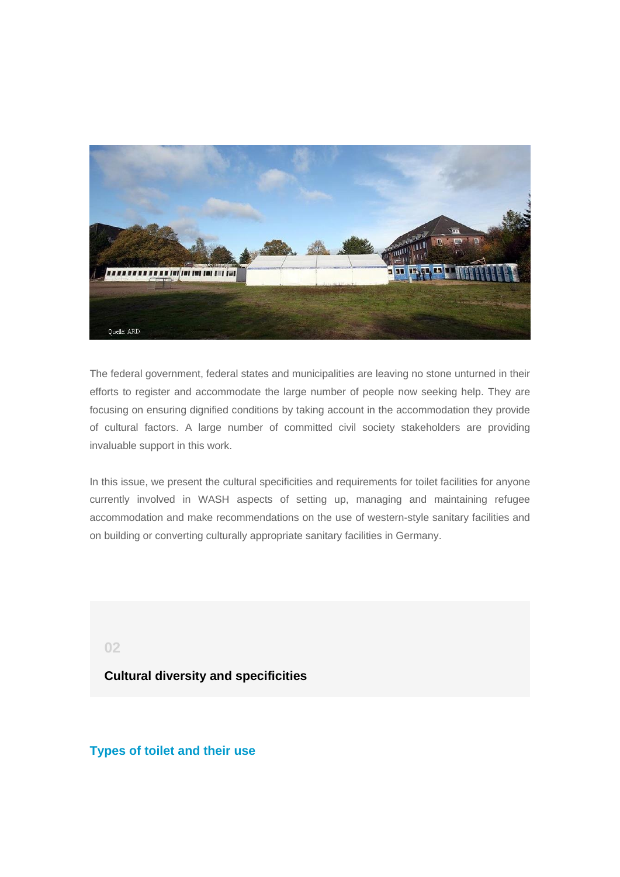

The federal government, federal states and municipalities are leaving no stone unturned in their efforts to register and accommodate the large number of people now seeking help. They are focusing on ensuring dignified conditions by taking account in the accommodation they provide of cultural factors. A large number of committed civil society stakeholders are providing invaluable support in this work.

In this issue, we present the cultural specificities and requirements for toilet facilities for anyone currently involved in WASH aspects of setting up, managing and maintaining refugee accommodation and make recommendations on the use of western-style sanitary facilities and on building or converting culturally appropriate sanitary facilities in Germany.

<span id="page-2-0"></span>**02**

## **Cultural diversity and specificities**

**Types of toilet and their use**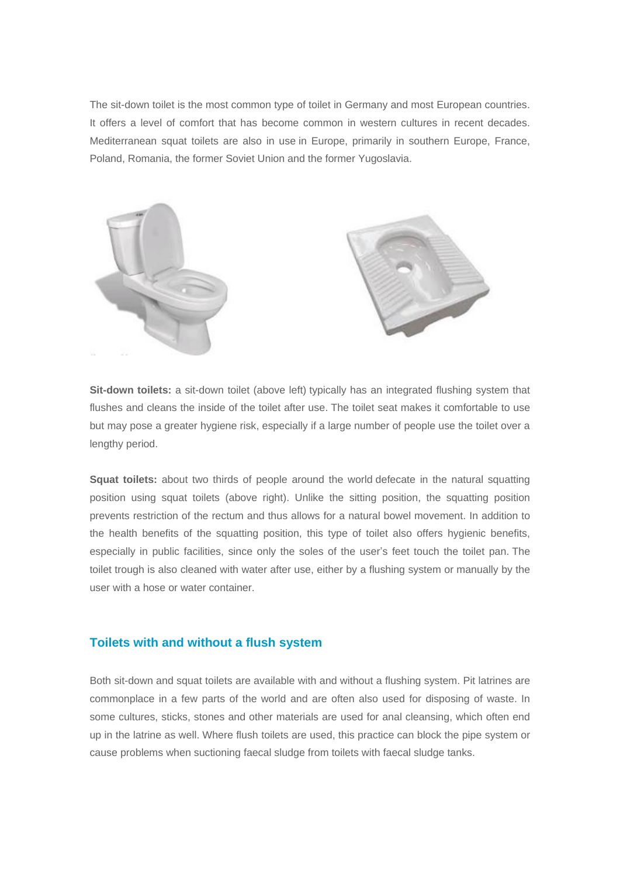The sit-down toilet is the most common type of toilet in Germany and most European countries. It offers a level of comfort that has become common in western cultures in recent decades. Mediterranean squat toilets are also in use in Europe, primarily in southern Europe, France, Poland, Romania, the former Soviet Union and the former Yugoslavia.



**Sit-down toilets:** a sit-down toilet (above left) typically has an integrated flushing system that flushes and cleans the inside of the toilet after use. The toilet seat makes it comfortable to use but may pose a greater hygiene risk, especially if a large number of people use the toilet over a lengthy period.

**Squat toilets:** about two thirds of people around the world defecate in the natural squatting position using squat toilets (above right). Unlike the sitting position, the squatting position prevents restriction of the rectum and thus allows for a natural bowel movement. In addition to the health benefits of the squatting position, this type of toilet also offers hygienic benefits, especially in public facilities, since only the soles of the user's feet touch the toilet pan. The toilet trough is also cleaned with water after use, either by a flushing system or manually by the user with a hose or water container.

## **Toilets with and without a flush system**

Both sit-down and squat toilets are available with and without a flushing system. Pit latrines are commonplace in a few parts of the world and are often also used for disposing of waste. In some cultures, sticks, stones and other materials are used for anal cleansing, which often end up in the latrine as well. Where flush toilets are used, this practice can block the pipe system or cause problems when suctioning faecal sludge from toilets with faecal sludge tanks.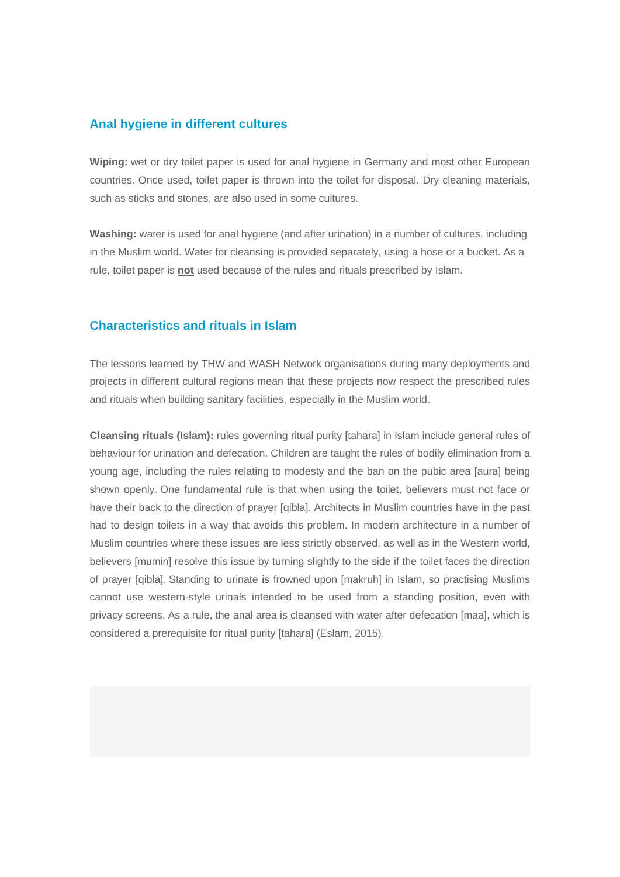### **Anal hygiene in different cultures**

**Wiping:** wet or dry toilet paper is used for anal hygiene in Germany and most other European countries. Once used, toilet paper is thrown into the toilet for disposal. Dry cleaning materials, such as sticks and stones, are also used in some cultures.

**Washing:** water is used for anal hygiene (and after urination) in a number of cultures, including in the Muslim world. Water for cleansing is provided separately, using a hose or a bucket. As a rule, toilet paper is **not** used because of the rules and rituals prescribed by Islam.

## **Characteristics and rituals in Islam**

The lessons learned by THW and WASH Network organisations during many deployments and projects in different cultural regions mean that these projects now respect the prescribed rules and rituals when building sanitary facilities, especially in the Muslim world.

**Cleansing rituals (Islam):** rules governing ritual purity [tahara] in Islam include general rules of behaviour for urination and defecation. Children are taught the rules of bodily elimination from a young age, including the rules relating to modesty and the ban on the pubic area [aura] being shown openly. One fundamental rule is that when using the toilet, believers must not face or have their back to the direction of prayer [qibla]. Architects in Muslim countries have in the past had to design toilets in a way that avoids this problem. In modern architecture in a number of Muslim countries where these issues are less strictly observed, as well as in the Western world, believers [mumin] resolve this issue by turning slightly to the side if the toilet faces the direction of prayer [qibla]. Standing to urinate is frowned upon [makruh] in Islam, so practising Muslims cannot use western-style urinals intended to be used from a standing position, even with privacy screens. As a rule, the anal area is cleansed with water after defecation [maa], which is considered a prerequisite for ritual purity [tahara] (Eslam, 2015).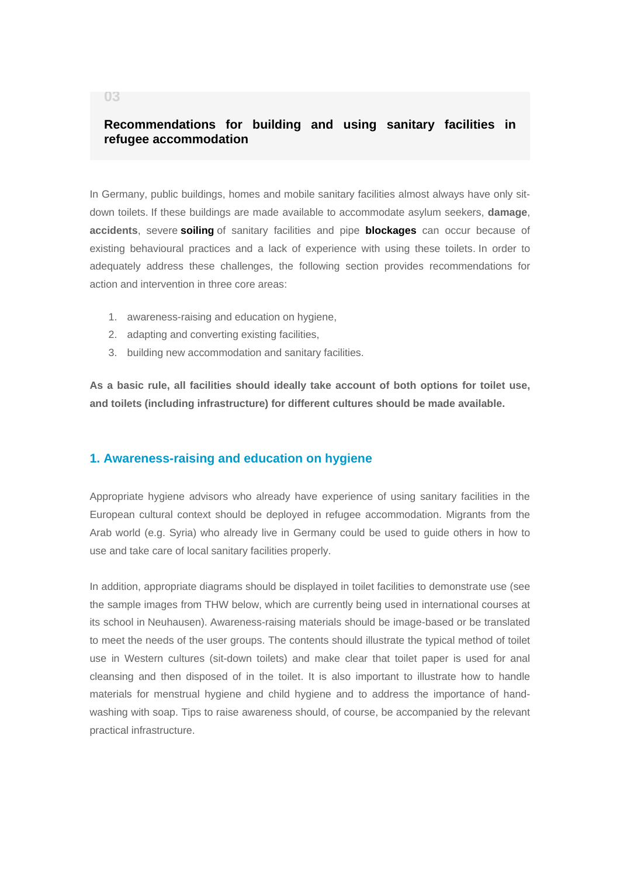# **Recommendations for building and using sanitary facilities in refugee accommodation**

In Germany, public buildings, homes and mobile sanitary facilities almost always have only sitdown toilets. If these buildings are made available to accommodate asylum seekers, **damage**, **accidents**, severe **soiling** of sanitary facilities and pipe **blockages** can occur because of existing behavioural practices and a lack of experience with using these toilets. In order to adequately address these challenges, the following section provides recommendations for action and intervention in three core areas:

- 1. awareness-raising and education on hygiene,
- 2. adapting and converting existing facilities,
- 3. building new accommodation and sanitary facilities.

**As a basic rule, all facilities should ideally take account of both options for toilet use, and toilets (including infrastructure) for different cultures should be made available.**

#### **1. Awareness-raising and education on hygiene**

Appropriate hygiene advisors who already have experience of using sanitary facilities in the European cultural context should be deployed in refugee accommodation. Migrants from the Arab world (e.g. Syria) who already live in Germany could be used to guide others in how to use and take care of local sanitary facilities properly.

In addition, appropriate diagrams should be displayed in toilet facilities to demonstrate use (see the sample images from THW below, which are currently being used in international courses at its school in Neuhausen). Awareness-raising materials should be image-based or be translated to meet the needs of the user groups. The contents should illustrate the typical method of toilet use in Western cultures (sit-down toilets) and make clear that toilet paper is used for anal cleansing and then disposed of in the toilet. It is also important to illustrate how to handle materials for menstrual hygiene and child hygiene and to address the importance of handwashing with soap. Tips to raise awareness should, of course, be accompanied by the relevant practical infrastructure.

#### <span id="page-5-0"></span>**03**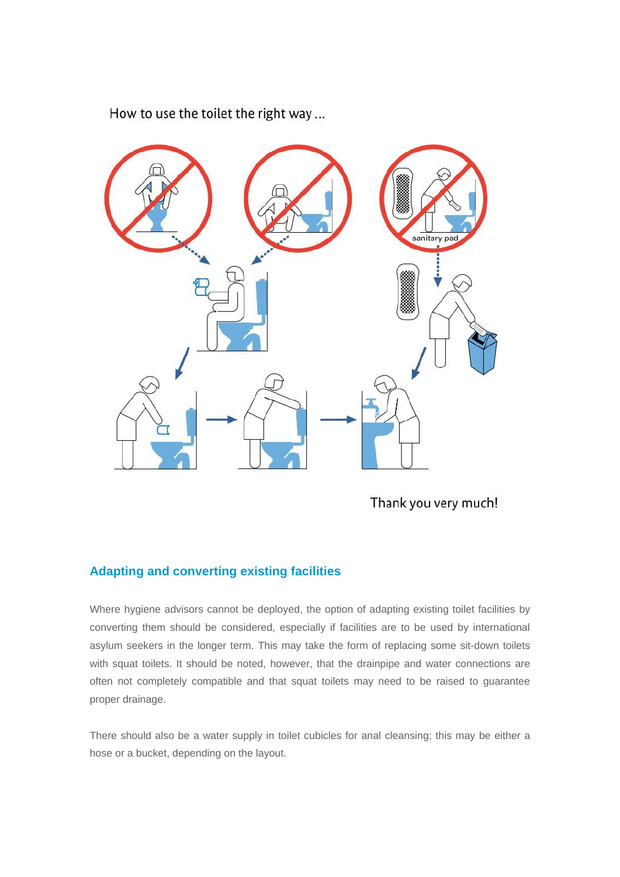

How to use the toilet the right way...

Thank you very much!

# **Adapting and converting existing facilities**

Where hygiene advisors cannot be deployed, the option of adapting existing toilet facilities by converting them should be considered, especially if facilities are to be used by international asylum seekers in the longer term. This may take the form of replacing some sit-down toilets with squat toilets. It should be noted, however, that the drainpipe and water connections are often not completely compatible and that squat toilets may need to be raised to guarantee proper drainage.

There should also be a water supply in toilet cubicles for anal cleansing; this may be either a hose or a bucket, depending on the layout.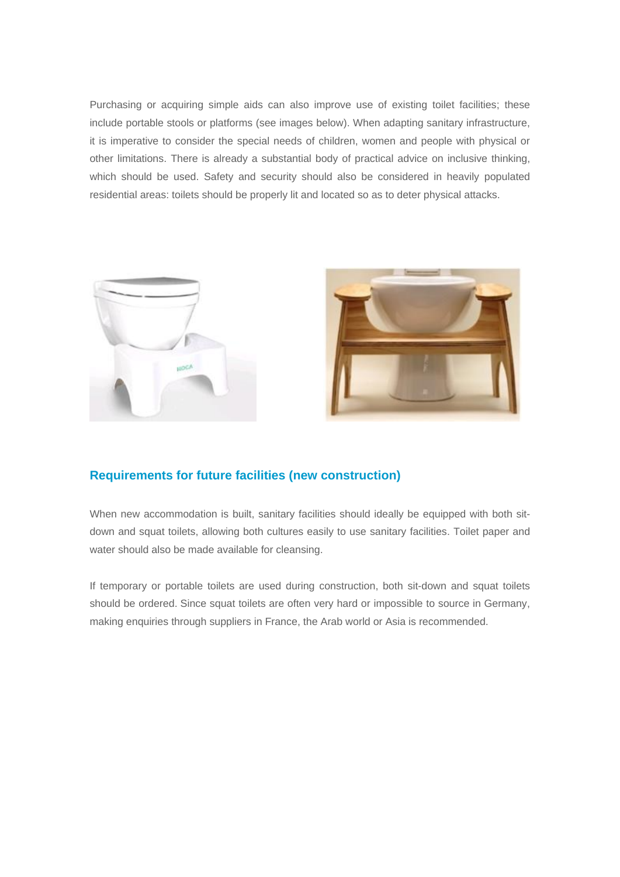Purchasing or acquiring simple aids can also improve use of existing toilet facilities; these include portable stools or platforms (see images below). When adapting sanitary infrastructure, it is imperative to consider the special needs of children, women and people with physical or other limitations. There is already a substantial body of practical advice on inclusive thinking, which should be used. Safety and security should also be considered in heavily populated residential areas: toilets should be properly lit and located so as to deter physical attacks.





# **Requirements for future facilities (new construction)**

When new accommodation is built, sanitary facilities should ideally be equipped with both sitdown and squat toilets, allowing both cultures easily to use sanitary facilities. Toilet paper and water should also be made available for cleansing.

If temporary or portable toilets are used during construction, both sit-down and squat toilets should be ordered. Since squat toilets are often very hard or impossible to source in Germany, making enquiries through suppliers in France, the Arab world or Asia is recommended.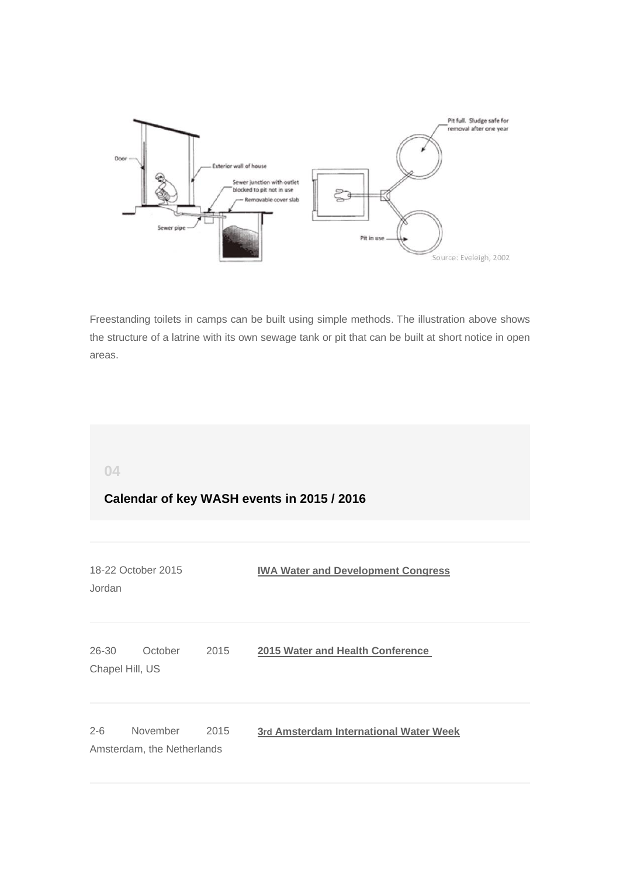

Freestanding toilets in camps can be built using simple methods. The illustration above shows the structure of a latrine with its own sewage tank or pit that can be built at short notice in open areas.

<span id="page-8-0"></span>**04**

# **Calendar of key WASH events in 2015 / 2016**

| Jordan    | 18-22 October 2015                     |      | <b>IWA Water and Development Congress</b> |  |  |  |
|-----------|----------------------------------------|------|-------------------------------------------|--|--|--|
| $26 - 30$ | October<br>Chapel Hill, US             | 2015 | 2015 Water and Health Conference          |  |  |  |
| $2 - 6$   | November<br>Amsterdam, the Netherlands | 2015 | 3rd Amsterdam International Water Week    |  |  |  |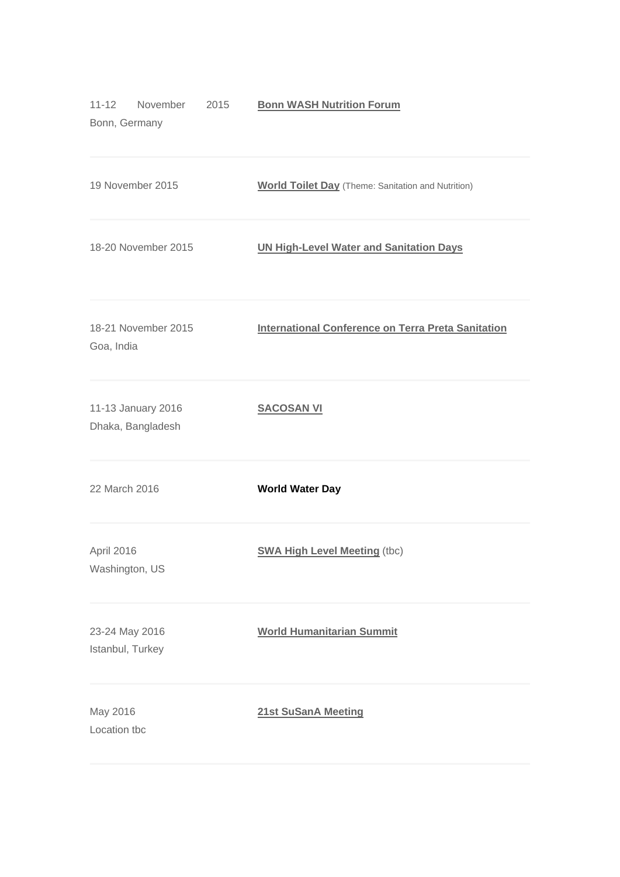| November<br>$11 - 12$<br>2015<br>Bonn, Germany | <b>Bonn WASH Nutrition Forum</b>                          |
|------------------------------------------------|-----------------------------------------------------------|
| 19 November 2015                               | <b>World Toilet Day</b> (Theme: Sanitation and Nutrition) |
| 18-20 November 2015                            | <b>UN High-Level Water and Sanitation Days</b>            |
| 18-21 November 2015<br>Goa, India              | <b>International Conference on Terra Preta Sanitation</b> |
| 11-13 January 2016<br>Dhaka, Bangladesh        | <b>SACOSAN VI</b>                                         |
| 22 March 2016                                  | <b>World Water Day</b>                                    |
| April 2016<br>Washington, US                   | <b>SWA High Level Meeting (tbc)</b>                       |
| 23-24 May 2016<br>Istanbul, Turkey             | <b>World Humanitarian Summit</b>                          |
| May 2016<br>Location tbc                       | 21st SuSanA Meeting                                       |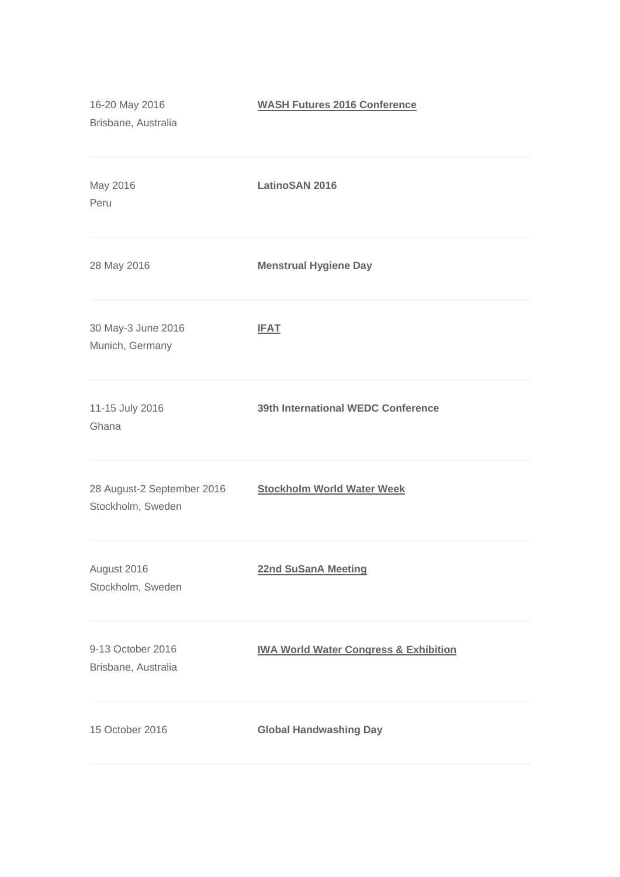| 16-20 May 2016<br>Brisbane, Australia           | <b>WASH Futures 2016 Conference</b>              |
|-------------------------------------------------|--------------------------------------------------|
| May 2016<br>Peru                                | <b>LatinoSAN 2016</b>                            |
| 28 May 2016                                     | <b>Menstrual Hygiene Day</b>                     |
| 30 May-3 June 2016<br>Munich, Germany           | <b>IFAT</b>                                      |
| 11-15 July 2016<br>Ghana                        | 39th International WEDC Conference               |
| 28 August-2 September 2016<br>Stockholm, Sweden | <b>Stockholm World Water Week</b>                |
| August 2016<br>Stockholm, Sweden                | <b>22nd SuSanA Meeting</b>                       |
| 9-13 October 2016<br>Brisbane, Australia        | <b>IWA World Water Congress &amp; Exhibition</b> |
| 15 October 2016                                 | <b>Global Handwashing Day</b>                    |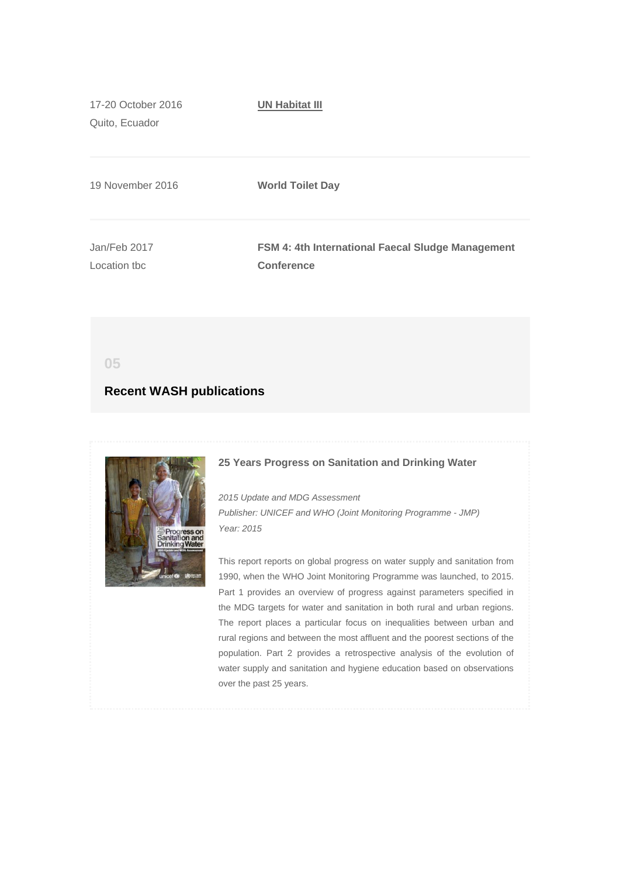17-20 October 2016 Quito, Ecuador **[UN Habitat III](http://germantoilet.us4.list-manage1.com/track/click?u=bc3ae3e573afc6e78bf46bfd1&id=5ff6c79bdb&e=95dd51893c)** 19 November 2016 **World Toilet Day** Jan/Feb 2017 Location tbc **FSM 4: 4th International Faecal Sludge Management Conference**

<span id="page-11-0"></span>**05**

## **Recent WASH publications**



#### **25 Years Progress on Sanitation and Drinking Water**

*2015 Update and MDG Assessment Publisher: UNICEF and WHO (Joint Monitoring Programme - JMP) Year: 2015*

This report reports on global progress on water supply and sanitation from 1990, when the WHO Joint Monitoring Programme was launched, to 2015. Part 1 provides an overview of progress against parameters specified in the MDG targets for water and sanitation in both rural and urban regions. The report places a particular focus on inequalities between urban and rural regions and between the most affluent and the poorest sections of the population. Part 2 provides a retrospective analysis of the evolution of water supply and sanitation and hygiene education based on observations over the past 25 years.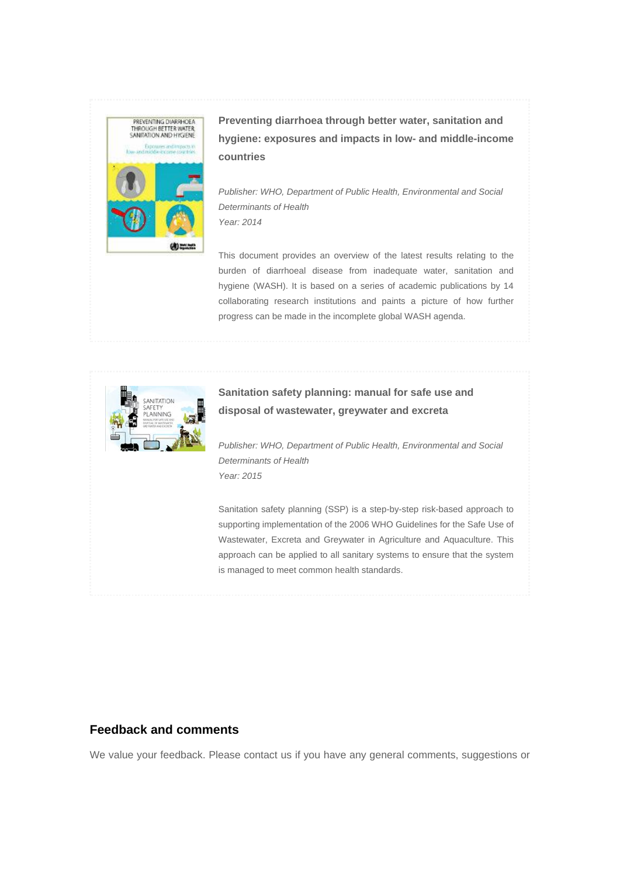

**Preventing diarrhoea through better water, sanitation and hygiene: exposures and impacts in low- and middle-income countries** 

*Publisher: WHO, Department of Public Health, Environmental and Social Determinants of Health Year: 2014* 

This document provides an overview of the latest results relating to the burden of diarrhoeal disease from inadequate water, sanitation and hygiene (WASH). It is based on a series of academic publications by 14 collaborating research institutions and paints a picture of how further progress can be made in the incomplete global WASH agenda.



# **Sanitation safety planning: manual for safe use and disposal of wastewater, greywater and excreta**

*Publisher: WHO, Department of Public Health, Environmental and Social Determinants of Health Year: 2015*

Sanitation safety planning (SSP) is a step-by-step risk-based approach to supporting implementation of the 2006 WHO Guidelines for the Safe Use of Wastewater, Excreta and Greywater in Agriculture and Aquaculture. This approach can be applied to all sanitary systems to ensure that the system is managed to meet common health standards.

# **Feedback and comments**

We value your feedback. Please contact us if you have any general comments, suggestions or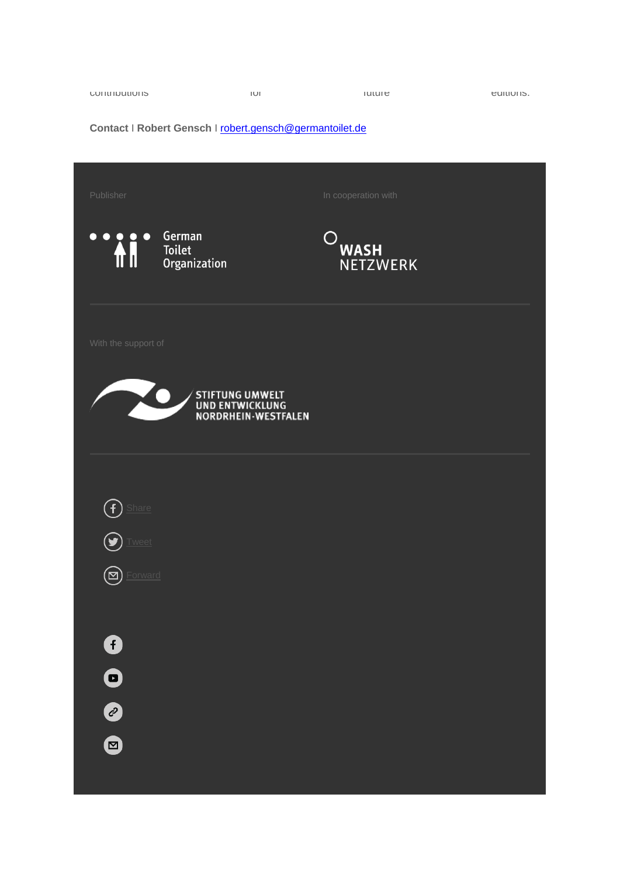| <b>CUTILIDULIUIS</b> | IUI | $I$ ululu | CUILIUI IS. |
|----------------------|-----|-----------|-------------|
|                      |     |           |             |

# **Contact** I **Robert Gensch** I [robert.gensch@germantoilet.de](mailto:robert.gensch@germantoilet.de)

| Publisher           |                                                           | In cooperation with            |  |
|---------------------|-----------------------------------------------------------|--------------------------------|--|
| <b>Ai</b>           | German<br>Toilet<br>Organization                          | <b>WASH</b><br><b>NETZWERK</b> |  |
| With the support of |                                                           |                                |  |
|                     | STIFTUNG UMWELT<br>UND ENTWICKLUNG<br>NORDRHEIN-WESTFALEN |                                |  |
|                     |                                                           |                                |  |
| Share               |                                                           |                                |  |
| Tweet               |                                                           |                                |  |
| Forward<br>⊠        |                                                           |                                |  |
| 0                   |                                                           |                                |  |
| $\bullet$           |                                                           |                                |  |
| 0                   |                                                           |                                |  |
| $\bigcirc$          |                                                           |                                |  |

and the state of the state of the state of the state of the state of the state of the state of the state of th